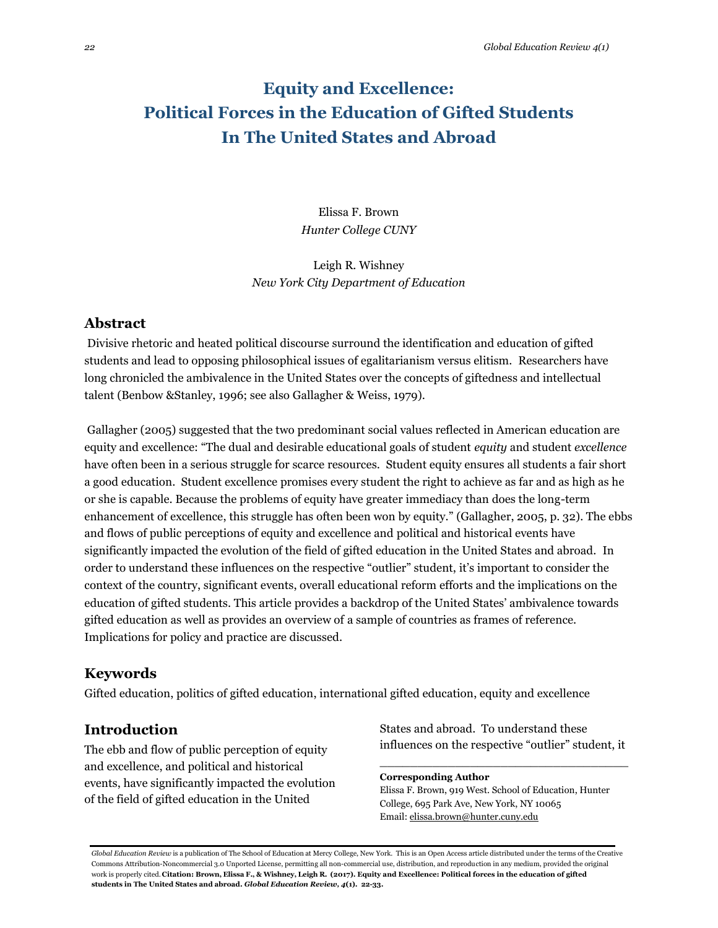# **Equity and Excellence: Political Forces in the Education of Gifted Students In The United States and Abroad**

Elissa F. Brown *Hunter College CUNY*

Leigh R. Wishney *New York City Department of Education*

### **Abstract**

Divisive rhetoric and heated political discourse surround the identification and education of gifted students and lead to opposing philosophical issues of egalitarianism versus elitism. Researchers have long chronicled the ambivalence in the United States over the concepts of giftedness and intellectual talent (Benbow &Stanley, 1996; see also Gallagher & Weiss, 1979).

Gallagher (2005) suggested that the two predominant social values reflected in American education are equity and excellence: "The dual and desirable educational goals of student *equity* and student *excellence*  have often been in a serious struggle for scarce resources. Student equity ensures all students a fair short a good education. Student excellence promises every student the right to achieve as far and as high as he or she is capable. Because the problems of equity have greater immediacy than does the long-term enhancement of excellence, this struggle has often been won by equity." (Gallagher, 2005, p. 32). The ebbs and flows of public perceptions of equity and excellence and political and historical events have significantly impacted the evolution of the field of gifted education in the United States and abroad. In order to understand these influences on the respective "outlier" student, it's important to consider the context of the country, significant events, overall educational reform efforts and the implications on the education of gifted students. This article provides a backdrop of the United States' ambivalence towards gifted education as well as provides an overview of a sample of countries as frames of reference. Implications for policy and practice are discussed.

## **Keywords**

Gifted education, politics of gifted education, international gifted education, equity and excellence

## **Introduction**

The ebb and flow of public perception of equity and excellence, and political and historical events, have significantly impacted the evolution of the field of gifted education in the United

States and abroad. To understand these influences on the respective "outlier" student, it

\_\_\_\_\_\_\_\_\_\_\_\_\_\_\_\_\_\_\_\_\_\_\_\_\_\_\_\_\_\_\_\_\_

**Corresponding Author** Elissa F. Brown, 919 West. School of Education, Hunter College, 695 Park Ave, New York, NY 10065 Email[: elissa.brown@hunter.cuny.edu](mailto:elissa.brown@hunter.cuny.edu)

*Global Education Review* is a publication of The School of Education at Mercy College, New York. This is an Open Access article distributed under the terms of the Creative Commons Attribution-Noncommercial 3.0 Unported License, permitting all non-commercial use, distribution, and reproduction in any medium, provided the original work is properly cited. **Citation: Brown, Elissa F., & Wishney, Leigh R. (2017). Equity and Excellence: Political forces in the education of gifted students in The United States and abroad.** *Global Education Review, 4***(1). 22-33.**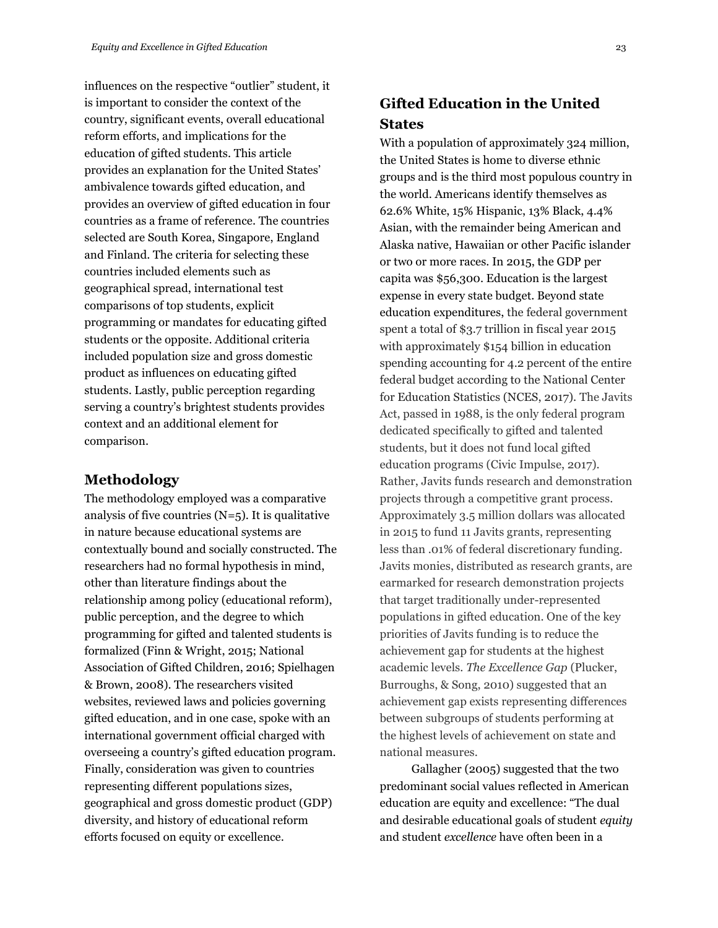influences on the respective "outlier" student, it is important to consider the context of the country, significant events, overall educational reform efforts, and implications for the education of gifted students. This article provides an explanation for the United States' ambivalence towards gifted education, and provides an overview of gifted education in four countries as a frame of reference. The countries selected are South Korea, Singapore, England and Finland. The criteria for selecting these countries included elements such as geographical spread, international test comparisons of top students, explicit programming or mandates for educating gifted students or the opposite. Additional criteria included population size and gross domestic product as influences on educating gifted students. Lastly, public perception regarding serving a country's brightest students provides context and an additional element for comparison.

#### **Methodology**

The methodology employed was a comparative analysis of five countries  $(N=5)$ . It is qualitative in nature because educational systems are contextually bound and socially constructed. The researchers had no formal hypothesis in mind, other than literature findings about the relationship among policy (educational reform), public perception, and the degree to which programming for gifted and talented students is formalized (Finn & Wright, 2015; National Association of Gifted Children, 2016; Spielhagen & Brown, 2008). The researchers visited websites, reviewed laws and policies governing gifted education, and in one case, spoke with an international government official charged with overseeing a country's gifted education program. Finally, consideration was given to countries representing different populations sizes, geographical and gross domestic product (GDP) diversity, and history of educational reform efforts focused on equity or excellence.

## **Gifted Education in the United States**

With a population of approximately 324 million, the United States is home to diverse ethnic groups and is the third most populous country in the world. Americans identify themselves as 62.6% White, 15% Hispanic, 13% Black, 4.4% Asian, with the remainder being American and Alaska native, Hawaiian or other Pacific islander or two or more races. In 2015, the GDP per capita was \$56,300. Education is the largest expense in every state budget. Beyond state education expenditures, the federal government spent a total of \$3.7 trillion in fiscal year 2015 with approximately \$154 billion in education spending accounting for 4.2 percent of the entire federal budget according to the National Center for Education Statistics (NCES, 2017). The Javits Act, passed in 1988, is the only federal program dedicated specifically to gifted and talented students, but it does not fund local gifted education programs (Civic Impulse, 2017). Rather, Javits funds research and demonstration projects through a competitive grant process. Approximately 3.5 million dollars was allocated in 2015 to fund 11 Javits grants, representing less than .01% of federal discretionary funding. Javits monies, distributed as research grants, are earmarked for research demonstration projects that target traditionally under-represented populations in gifted education. One of the key priorities of Javits funding is to reduce the achievement gap for students at the highest academic levels. *The Excellence Gap* (Plucker, Burroughs, & Song, 2010) suggested that an achievement gap exists representing differences between subgroups of students performing at the highest levels of achievement on state and national measures.

Gallagher (2005) suggested that the two predominant social values reflected in American education are equity and excellence: "The dual and desirable educational goals of student *equity* and student *excellence* have often been in a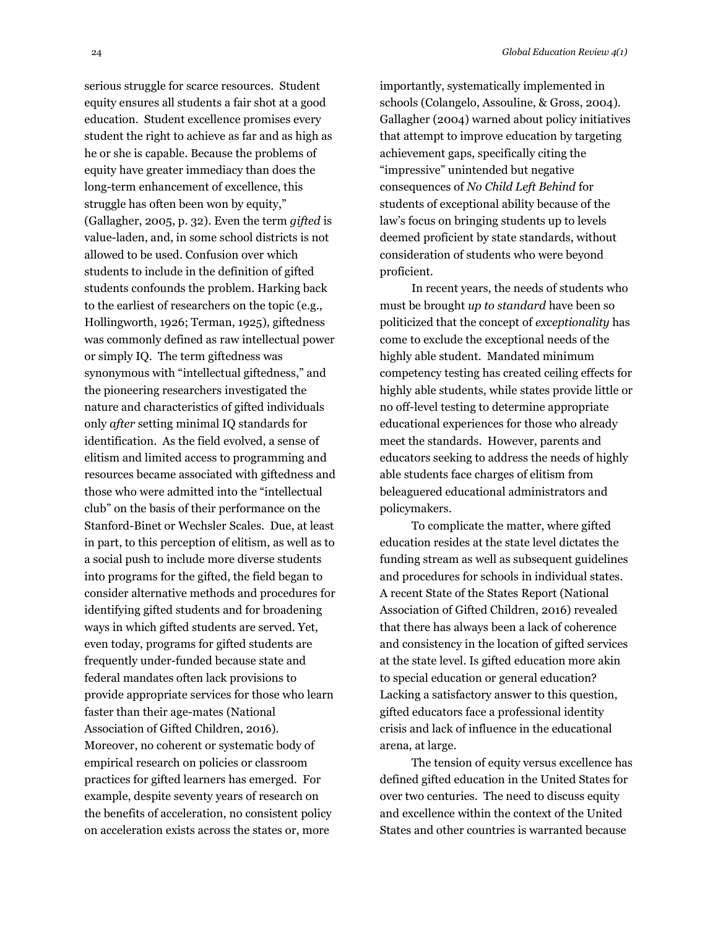serious struggle for scarce resources. Student equity ensures all students a fair shot at a good education. Student excellence promises every student the right to achieve as far and as high as he or she is capable. Because the problems of equity have greater immediacy than does the long-term enhancement of excellence, this struggle has often been won by equity," (Gallagher, 2005, p. 32). Even the term *gifted* is value-laden, and, in some school districts is not allowed to be used. Confusion over which students to include in the definition of gifted students confounds the problem. Harking back to the earliest of researchers on the topic (e.g., Hollingworth, 1926; Terman, 1925), giftedness was commonly defined as raw intellectual power or simply IQ. The term giftedness was synonymous with "intellectual giftedness," and the pioneering researchers investigated the nature and characteristics of gifted individuals only *after* setting minimal IQ standards for identification. As the field evolved, a sense of elitism and limited access to programming and resources became associated with giftedness and those who were admitted into the "intellectual club" on the basis of their performance on the Stanford-Binet or Wechsler Scales. Due, at least in part, to this perception of elitism, as well as to a social push to include more diverse students into programs for the gifted, the field began to consider alternative methods and procedures for identifying gifted students and for broadening ways in which gifted students are served. Yet, even today, programs for gifted students are frequently under-funded because state and federal mandates often lack provisions to provide appropriate services for those who learn faster than their age-mates (National Association of Gifted Children, 2016). Moreover, no coherent or systematic body of empirical research on policies or classroom practices for gifted learners has emerged. For example, despite seventy years of research on the benefits of acceleration, no consistent policy on acceleration exists across the states or, more

importantly, systematically implemented in schools (Colangelo, Assouline, & Gross, 2004). Gallagher (2004) warned about policy initiatives that attempt to improve education by targeting achievement gaps, specifically citing the "impressive" unintended but negative consequences of *No Child Left Behind* for students of exceptional ability because of the law's focus on bringing students up to levels deemed proficient by state standards, without consideration of students who were beyond proficient.

In recent years, the needs of students who must be brought *up to standard* have been so politicized that the concept of *exceptionality* has come to exclude the exceptional needs of the highly able student. Mandated minimum competency testing has created ceiling effects for highly able students, while states provide little or no off-level testing to determine appropriate educational experiences for those who already meet the standards. However, parents and educators seeking to address the needs of highly able students face charges of elitism from beleaguered educational administrators and policymakers.

To complicate the matter, where gifted education resides at the state level dictates the funding stream as well as subsequent guidelines and procedures for schools in individual states. A recent State of the States Report (National Association of Gifted Children, 2016) revealed that there has always been a lack of coherence and consistency in the location of gifted services at the state level. Is gifted education more akin to special education or general education? Lacking a satisfactory answer to this question, gifted educators face a professional identity crisis and lack of influence in the educational arena, at large.

The tension of equity versus excellence has defined gifted education in the United States for over two centuries. The need to discuss equity and excellence within the context of the United States and other countries is warranted because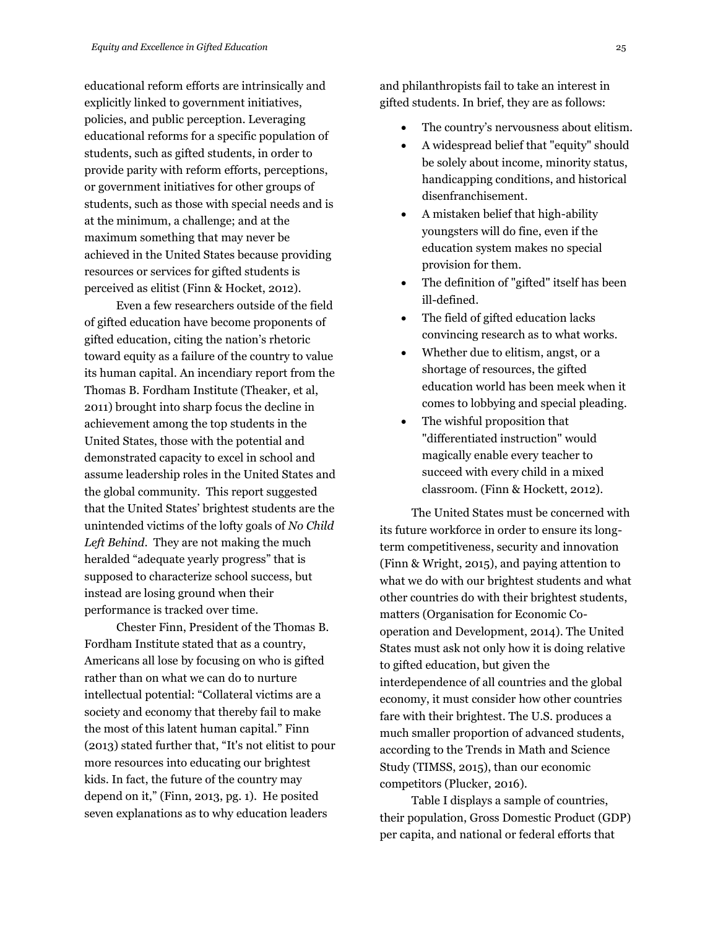educational reform efforts are intrinsically and explicitly linked to government initiatives, policies, and public perception. Leveraging educational reforms for a specific population of students, such as gifted students, in order to provide parity with reform efforts, perceptions, or government initiatives for other groups of students, such as those with special needs and is at the minimum, a challenge; and at the maximum something that may never be achieved in the United States because providing resources or services for gifted students is perceived as elitist (Finn & Hocket, 2012).

Even a few researchers outside of the field of gifted education have become proponents of gifted education, citing the nation's rhetoric toward equity as a failure of the country to value its human capital. An incendiary report from the Thomas B. Fordham Institute (Theaker, et al, 2011) brought into sharp focus the decline in achievement among the top students in the United States, those with the potential and demonstrated capacity to excel in school and assume leadership roles in the United States and the global community. This report suggested that the United States' brightest students are the unintended victims of the lofty goals of *No Child Left Behind*. They are not making the much heralded "adequate yearly progress" that is supposed to characterize school success, but instead are losing ground when their performance is tracked over time.

Chester Finn, President of the Thomas B. Fordham Institute stated that as a country, Americans all lose by focusing on who is gifted rather than on what we can do to nurture intellectual potential: "Collateral victims are a society and economy that thereby fail to make the most of this latent human capital." Finn (2013) stated further that, "It's not elitist to pour more resources into educating our brightest kids. In fact, the future of the country may depend on it," (Finn, 2013, pg. 1). He posited seven explanations as to why education leaders

and philanthropists fail to take an interest in gifted students. In brief, they are as follows:

- The country's nervousness about elitism.
- A widespread belief that "equity" should be solely about income, minority status, handicapping conditions, and historical disenfranchisement.
- A mistaken belief that high-ability youngsters will do fine, even if the education system makes no special provision for them.
- The definition of "gifted" itself has been ill-defined.
- The field of gifted education lacks convincing research as to what works.
- Whether due to elitism, angst, or a shortage of resources, the gifted education world has been meek when it comes to lobbying and special pleading.
- The wishful proposition that "differentiated instruction" would magically enable every teacher to succeed with every child in a mixed classroom. (Finn & Hockett, 2012).

The United States must be concerned with its future workforce in order to ensure its longterm competitiveness, security and innovation (Finn & Wright, 2015), and paying attention to what we do with our brightest students and what other countries do with their brightest students, matters (Organisation for Economic Cooperation and Development, 2014). The United States must ask not only how it is doing relative to gifted education, but given the interdependence of all countries and the global economy, it must consider how other countries fare with their brightest. The U.S. produces a much smaller proportion of advanced students, according to the Trends in Math and Science Study (TIMSS, 2015), than our economic competitors (Plucker, 2016).

Table I displays a sample of countries, their population, Gross Domestic Product (GDP) per capita, and national or federal efforts that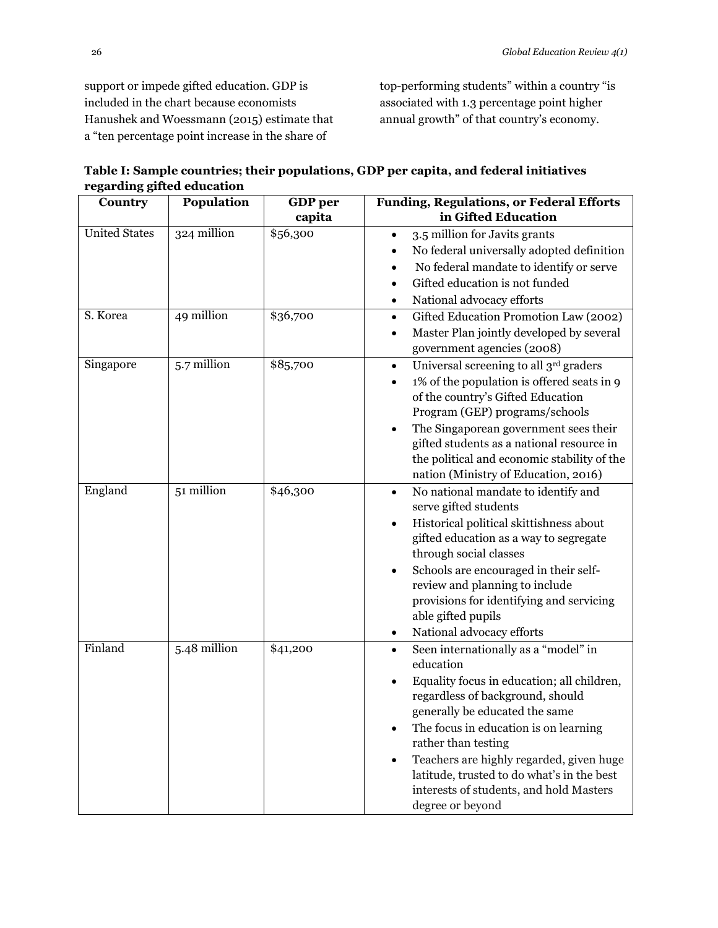support or impede gifted education. GDP is included in the chart because economists Hanushek and Woessmann (2015) estimate that a "ten percentage point increase in the share of

top-performing students" within a country "is associated with 1.3 percentage point higher annual growth" of that country's economy.

| Table I: Sample countries; their populations, GDP per capita, and federal initiatives |
|---------------------------------------------------------------------------------------|
| regarding gifted education                                                            |

| Country              | <b>Population</b> | GDP per  | <b>Funding, Regulations, or Federal Efforts</b>                                                                                                                                                                                                                                                                                                                                                                                                    |
|----------------------|-------------------|----------|----------------------------------------------------------------------------------------------------------------------------------------------------------------------------------------------------------------------------------------------------------------------------------------------------------------------------------------------------------------------------------------------------------------------------------------------------|
|                      |                   | capita   | in Gifted Education                                                                                                                                                                                                                                                                                                                                                                                                                                |
| <b>United States</b> | 324 million       | \$56,300 | 3.5 million for Javits grants<br>$\bullet$<br>No federal universally adopted definition<br>No federal mandate to identify or serve<br>Gifted education is not funded<br>National advocacy efforts                                                                                                                                                                                                                                                  |
| S. Korea             | 49 million        | \$36,700 | Gifted Education Promotion Law (2002)<br>٠<br>Master Plan jointly developed by several<br>٠<br>government agencies (2008)                                                                                                                                                                                                                                                                                                                          |
| Singapore            | 5.7 million       | \$85,700 | Universal screening to all 3rd graders<br>$\bullet$<br>1% of the population is offered seats in 9<br>$\bullet$<br>of the country's Gifted Education<br>Program (GEP) programs/schools<br>The Singaporean government sees their<br>$\bullet$<br>gifted students as a national resource in<br>the political and economic stability of the<br>nation (Ministry of Education, 2016)                                                                    |
| England              | 51 million        | \$46,300 | No national mandate to identify and<br>$\bullet$<br>serve gifted students<br>Historical political skittishness about<br>$\bullet$<br>gifted education as a way to segregate<br>through social classes<br>Schools are encouraged in their self-<br>$\bullet$<br>review and planning to include<br>provisions for identifying and servicing<br>able gifted pupils<br>National advocacy efforts<br>$\bullet$                                          |
| Finland              | 5.48 million      | \$41,200 | Seen internationally as a "model" in<br>$\bullet$<br>education<br>Equality focus in education; all children,<br>$\bullet$<br>regardless of background, should<br>generally be educated the same<br>The focus in education is on learning<br>$\bullet$<br>rather than testing<br>Teachers are highly regarded, given huge<br>$\bullet$<br>latitude, trusted to do what's in the best<br>interests of students, and hold Masters<br>degree or beyond |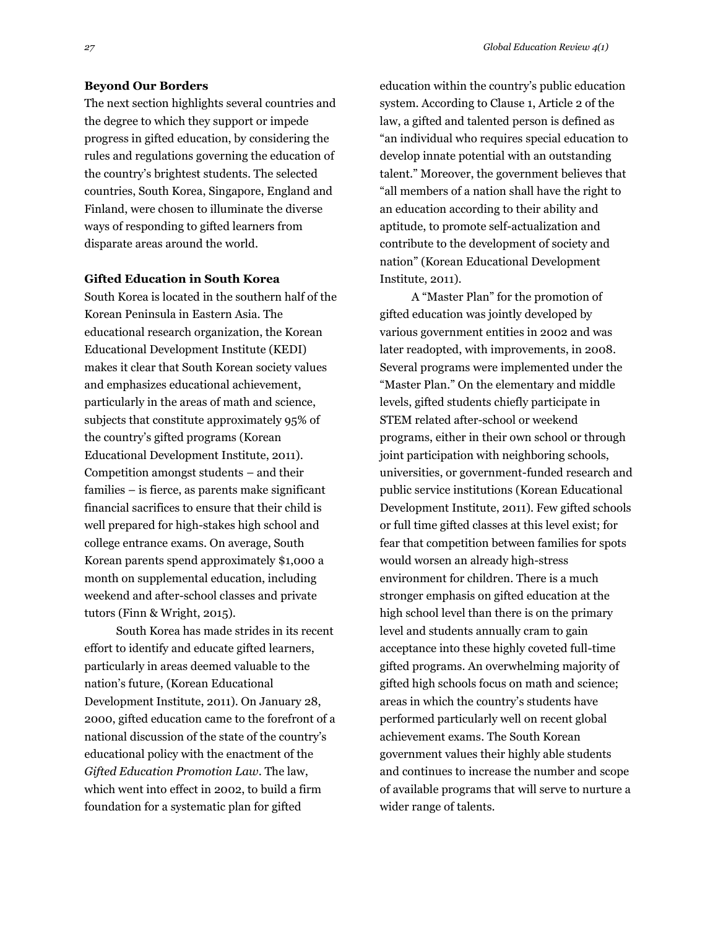#### **Beyond Our Borders**

The next section highlights several countries and the degree to which they support or impede progress in gifted education, by considering the rules and regulations governing the education of the country's brightest students. The selected countries, South Korea, Singapore, England and Finland, were chosen to illuminate the diverse ways of responding to gifted learners from disparate areas around the world.

#### **Gifted Education in South Korea**

South Korea is located in the southern half of the Korean Peninsula in Eastern Asia. The educational research organization, the Korean Educational Development Institute (KEDI) makes it clear that South Korean society values and emphasizes educational achievement, particularly in the areas of math and science, subjects that constitute approximately 95% of the country's gifted programs (Korean Educational Development Institute, 2011). Competition amongst students – and their families – is fierce, as parents make significant financial sacrifices to ensure that their child is well prepared for high-stakes high school and college entrance exams. On average, South Korean parents spend approximately \$1,000 a month on supplemental education, including weekend and after-school classes and private tutors (Finn & Wright, 2015).

South Korea has made strides in its recent effort to identify and educate gifted learners, particularly in areas deemed valuable to the nation's future, (Korean Educational Development Institute, 2011). On January 28, 2000, gifted education came to the forefront of a national discussion of the state of the country's educational policy with the enactment of the *Gifted Education Promotion Law*. The law, which went into effect in 2002, to build a firm foundation for a systematic plan for gifted

education within the country's public education system. According to Clause 1, Article 2 of the law, a gifted and talented person is defined as "an individual who requires special education to develop innate potential with an outstanding talent." Moreover, the government believes that "all members of a nation shall have the right to an education according to their ability and aptitude, to promote self-actualization and contribute to the development of society and nation" (Korean Educational Development Institute, 2011).

A "Master Plan" for the promotion of gifted education was jointly developed by various government entities in 2002 and was later readopted, with improvements, in 2008. Several programs were implemented under the "Master Plan." On the elementary and middle levels, gifted students chiefly participate in STEM related after-school or weekend programs, either in their own school or through joint participation with neighboring schools, universities, or government-funded research and public service institutions (Korean Educational Development Institute, 2011). Few gifted schools or full time gifted classes at this level exist; for fear that competition between families for spots would worsen an already high-stress environment for children. There is a much stronger emphasis on gifted education at the high school level than there is on the primary level and students annually cram to gain acceptance into these highly coveted full-time gifted programs. An overwhelming majority of gifted high schools focus on math and science; areas in which the country's students have performed particularly well on recent global achievement exams. The South Korean government values their highly able students and continues to increase the number and scope of available programs that will serve to nurture a wider range of talents.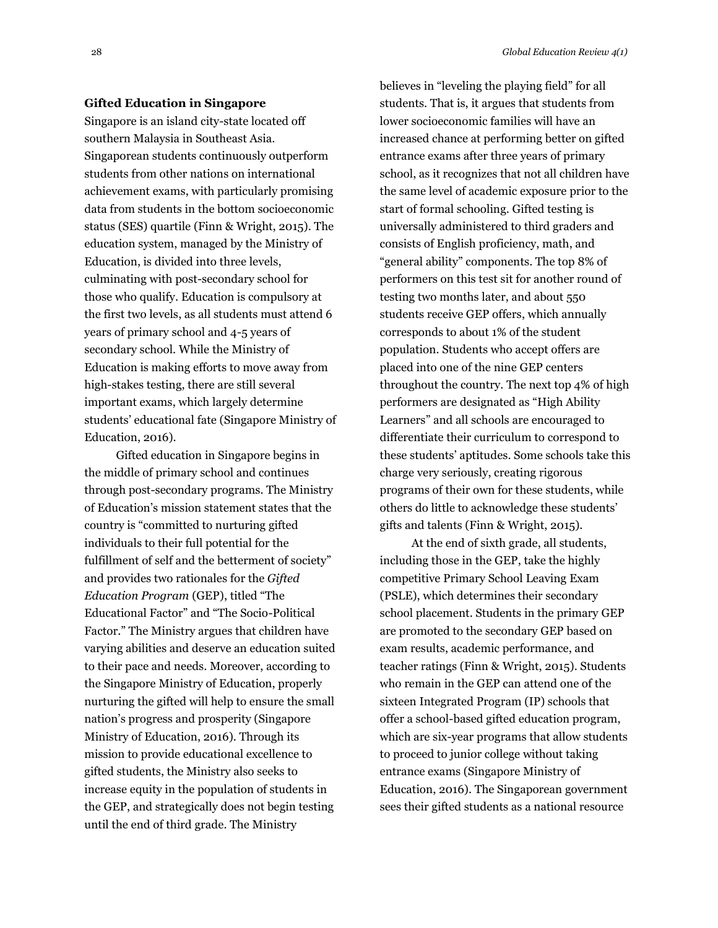#### **Gifted Education in Singapore**

Singapore is an island city-state located off southern Malaysia in Southeast Asia. Singaporean students continuously outperform students from other nations on international achievement exams, with particularly promising data from students in the bottom socioeconomic status (SES) quartile (Finn & Wright, 2015). The education system, managed by the Ministry of Education, is divided into three levels, culminating with post-secondary school for those who qualify. Education is compulsory at the first two levels, as all students must attend 6 years of primary school and 4-5 years of secondary school. While the Ministry of Education is making efforts to move away from high-stakes testing, there are still several important exams, which largely determine students' educational fate (Singapore Ministry of Education, 2016).

Gifted education in Singapore begins in the middle of primary school and continues through post-secondary programs. The Ministry of Education's mission statement states that the country is "committed to nurturing gifted individuals to their full potential for the fulfillment of self and the betterment of society" and provides two rationales for the *Gifted Education Program* (GEP), titled "The Educational Factor" and "The Socio-Political Factor." The Ministry argues that children have varying abilities and deserve an education suited to their pace and needs. Moreover, according to the Singapore Ministry of Education, properly nurturing the gifted will help to ensure the small nation's progress and prosperity (Singapore Ministry of Education, 2016). Through its mission to provide educational excellence to gifted students, the Ministry also seeks to increase equity in the population of students in the GEP, and strategically does not begin testing until the end of third grade. The Ministry

believes in "leveling the playing field" for all students. That is, it argues that students from lower socioeconomic families will have an increased chance at performing better on gifted entrance exams after three years of primary school, as it recognizes that not all children have the same level of academic exposure prior to the start of formal schooling. Gifted testing is universally administered to third graders and consists of English proficiency, math, and "general ability" components. The top 8% of performers on this test sit for another round of testing two months later, and about 550 students receive GEP offers, which annually corresponds to about 1% of the student population. Students who accept offers are placed into one of the nine GEP centers throughout the country. The next top 4% of high performers are designated as "High Ability Learners" and all schools are encouraged to differentiate their curriculum to correspond to these students' aptitudes. Some schools take this charge very seriously, creating rigorous programs of their own for these students, while others do little to acknowledge these students' gifts and talents (Finn & Wright, 2015).

At the end of sixth grade, all students, including those in the GEP, take the highly competitive Primary School Leaving Exam (PSLE), which determines their secondary school placement. Students in the primary GEP are promoted to the secondary GEP based on exam results, academic performance, and teacher ratings (Finn & Wright, 2015). Students who remain in the GEP can attend one of the sixteen Integrated Program (IP) schools that offer a school-based gifted education program, which are six-year programs that allow students to proceed to junior college without taking entrance exams (Singapore Ministry of Education, 2016). The Singaporean government sees their gifted students as a national resource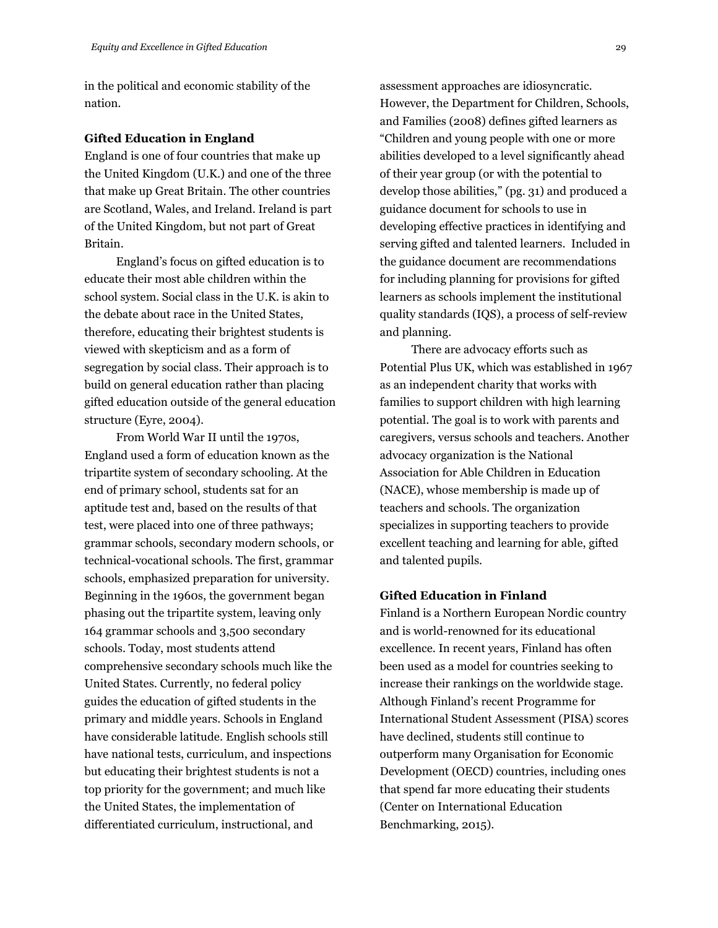in the political and economic stability of the nation.

#### **Gifted Education in England**

England is one of four countries that make up the United Kingdom (U.K.) and one of the three that make up Great Britain. The other countries are Scotland, Wales, and Ireland. Ireland is part of the United Kingdom, but not part of Great Britain.

England's focus on gifted education is to educate their most able children within the school system. Social class in the U.K. is akin to the debate about race in the United States, therefore, educating their brightest students is viewed with skepticism and as a form of segregation by social class. Their approach is to build on general education rather than placing gifted education outside of the general education structure (Eyre, 2004).

From World War II until the 1970s, England used a form of education known as the tripartite system of secondary schooling. At the end of primary school, students sat for an aptitude test and, based on the results of that test, were placed into one of three pathways; grammar schools, secondary modern schools, or technical-vocational schools. The first, grammar schools, emphasized preparation for university. Beginning in the 1960s, the government began phasing out the tripartite system, leaving only 164 grammar schools and 3,500 secondary schools. Today, most students attend comprehensive secondary schools much like the United States. Currently, no federal policy guides the education of gifted students in the primary and middle years. Schools in England have considerable latitude. English schools still have national tests, curriculum, and inspections but educating their brightest students is not a top priority for the government; and much like the United States, the implementation of differentiated curriculum, instructional, and

assessment approaches are idiosyncratic. However, the Department for Children, Schools, and Families (2008) defines gifted learners as "Children and young people with one or more abilities developed to a level significantly ahead of their year group (or with the potential to develop those abilities," (pg. 31) and produced a guidance document for schools to use in developing effective practices in identifying and serving gifted and talented learners. Included in the guidance document are recommendations for including planning for provisions for gifted learners as schools implement the institutional quality standards (IQS), a process of self-review and planning.

There are advocacy efforts such as Potential Plus UK, which was established in 1967 as an independent charity that works with families to support children with high learning potential. The goal is to work with parents and caregivers, versus schools and teachers. Another advocacy organization is the National Association for Able Children in Education (NACE), whose membership is made up of teachers and schools. The organization specializes in supporting teachers to provide excellent teaching and learning for able, gifted and talented pupils.

#### **Gifted Education in Finland**

Finland is a Northern European Nordic country and is world-renowned for its educational excellence. In recent years, Finland has often been used as a model for countries seeking to increase their rankings on the worldwide stage. Although Finland's recent Programme for International Student Assessment (PISA) scores have declined, students still continue to outperform many Organisation for Economic Development (OECD) countries, including ones that spend far more educating their students (Center on International Education Benchmarking, 2015).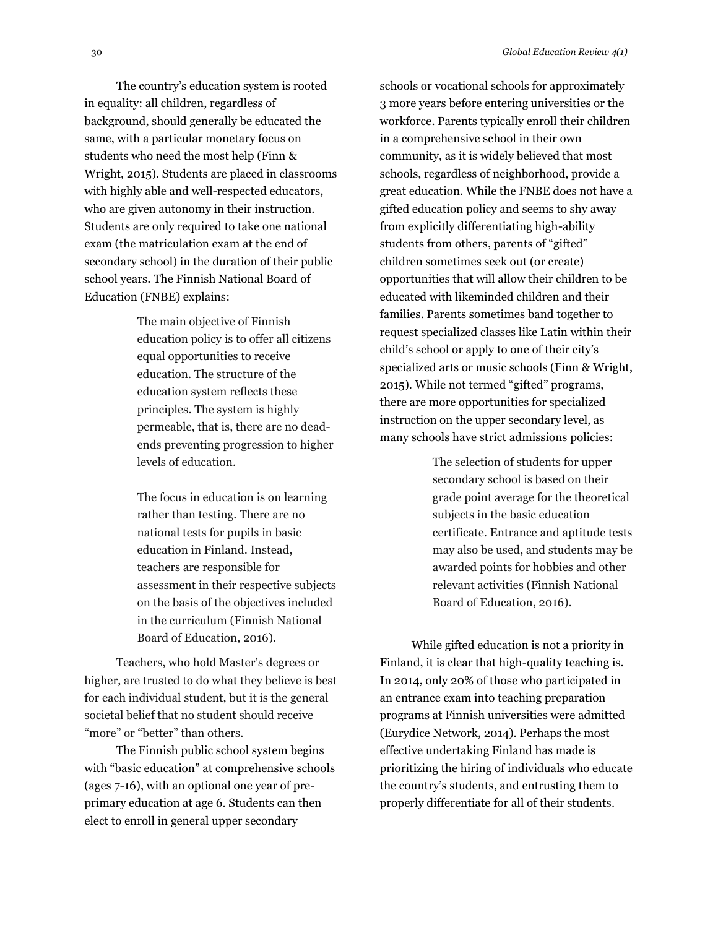The country's education system is rooted in equality: all children, regardless of background, should generally be educated the same, with a particular monetary focus on students who need the most help (Finn & Wright, 2015). Students are placed in classrooms with highly able and well-respected educators, who are given autonomy in their instruction. Students are only required to take one national exam (the matriculation exam at the end of secondary school) in the duration of their public school years. The Finnish National Board of Education (FNBE) explains:

> The main objective of Finnish education policy is to offer all citizens equal opportunities to receive education. The structure of the education system reflects these principles. The system is highly permeable, that is, there are no deadends preventing progression to higher levels of education.

The focus in education is on learning rather than testing. There are no national tests for pupils in basic education in Finland. Instead, teachers are responsible for assessment in their respective subjects on the basis of the objectives included in the curriculum (Finnish National Board of Education, 2016).

Teachers, who hold Master's degrees or higher, are trusted to do what they believe is best for each individual student, but it is the general societal belief that no student should receive "more" or "better" than others.

The Finnish public school system begins with "basic education" at comprehensive schools (ages 7-16), with an optional one year of preprimary education at age 6. Students can then elect to enroll in general upper secondary

schools or vocational schools for approximately 3 more years before entering universities or the workforce. Parents typically enroll their children in a comprehensive school in their own community, as it is widely believed that most schools, regardless of neighborhood, provide a great education. While the FNBE does not have a gifted education policy and seems to shy away from explicitly differentiating high-ability students from others, parents of "gifted" children sometimes seek out (or create) opportunities that will allow their children to be educated with likeminded children and their families. Parents sometimes band together to request specialized classes like Latin within their child's school or apply to one of their city's specialized arts or music schools (Finn & Wright, 2015). While not termed "gifted" programs, there are more opportunities for specialized instruction on the upper secondary level, as many schools have strict admissions policies:

> The selection of students for upper secondary school is based on their grade point average for the theoretical subjects in the basic education certificate. Entrance and aptitude tests may also be used, and students may be awarded points for hobbies and other relevant activities (Finnish National Board of Education, 2016).

While gifted education is not a priority in Finland, it is clear that high-quality teaching is. In 2014, only 20% of those who participated in an entrance exam into teaching preparation programs at Finnish universities were admitted (Eurydice Network, 2014). Perhaps the most effective undertaking Finland has made is prioritizing the hiring of individuals who educate the country's students, and entrusting them to properly differentiate for all of their students.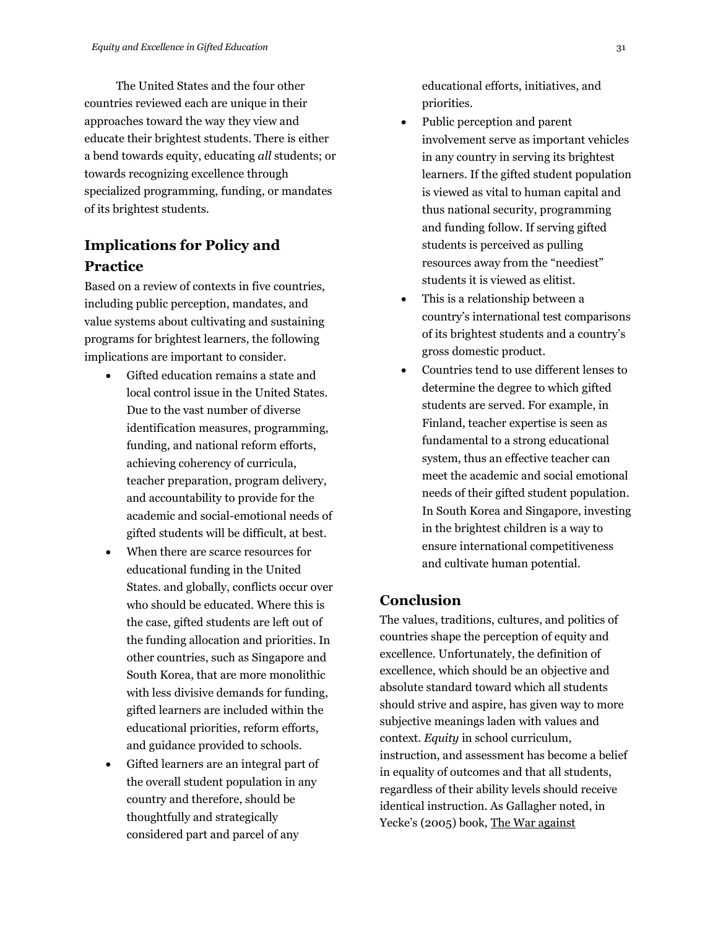The United States and the four other countries reviewed each are unique in their approaches toward the way they view and educate their brightest students. There is either a bend towards equity, educating *all* students; or towards recognizing excellence through specialized programming, funding, or mandates of its brightest students.

## **Implications for Policy and Practice**

Based on a review of contexts in five countries, including public perception, mandates, and value systems about cultivating and sustaining programs for brightest learners, the following implications are important to consider.

- Gifted education remains a state and local control issue in the United States. Due to the vast number of diverse identification measures, programming, funding, and national reform efforts, achieving coherency of curricula, teacher preparation, program delivery, and accountability to provide for the academic and social-emotional needs of gifted students will be difficult, at best.
- When there are scarce resources for educational funding in the United States. and globally, conflicts occur over who should be educated. Where this is the case, gifted students are left out of the funding allocation and priorities. In other countries, such as Singapore and South Korea, that are more monolithic with less divisive demands for funding, gifted learners are included within the educational priorities, reform efforts, and guidance provided to schools.
- Gifted learners are an integral part of the overall student population in any country and therefore, should be thoughtfully and strategically considered part and parcel of any

educational efforts, initiatives, and priorities.

- Public perception and parent involvement serve as important vehicles in any country in serving its brightest learners. If the gifted student population is viewed as vital to human capital and thus national security, programming and funding follow. If serving gifted students is perceived as pulling resources away from the "neediest" students it is viewed as elitist.
- This is a relationship between a country's international test comparisons of its brightest students and a country's gross domestic product.
- Countries tend to use different lenses to determine the degree to which gifted students are served. For example, in Finland, teacher expertise is seen as fundamental to a strong educational system, thus an effective teacher can meet the academic and social emotional needs of their gifted student population. In South Korea and Singapore, investing in the brightest children is a way to ensure international competitiveness and cultivate human potential.

## **Conclusion**

The values, traditions, cultures, and politics of countries shape the perception of equity and excellence. Unfortunately, the definition of excellence, which should be an objective and absolute standard toward which all students should strive and aspire, has given way to more subjective meanings laden with values and context. *Equity* in school curriculum, instruction, and assessment has become a belief in equality of outcomes and that all students, regardless of their ability levels should receive identical instruction. As Gallagher noted, in Yecke's (2005) book, The War against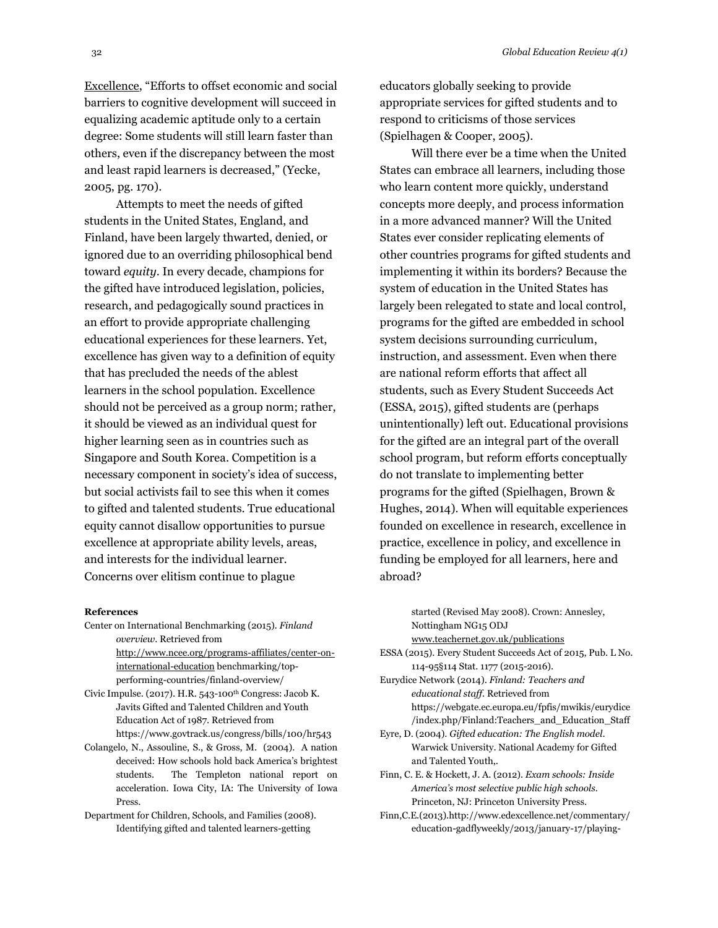Excellence, "Efforts to offset economic and social barriers to cognitive development will succeed in equalizing academic aptitude only to a certain degree: Some students will still learn faster than others, even if the discrepancy between the most and least rapid learners is decreased," (Yecke, 2005, pg. 170).

Attempts to meet the needs of gifted students in the United States, England, and Finland, have been largely thwarted, denied, or ignored due to an overriding philosophical bend toward *equity*. In every decade, champions for the gifted have introduced legislation, policies, research, and pedagogically sound practices in an effort to provide appropriate challenging educational experiences for these learners. Yet, excellence has given way to a definition of equity that has precluded the needs of the ablest learners in the school population. Excellence should not be perceived as a group norm; rather, it should be viewed as an individual quest for higher learning seen as in countries such as Singapore and South Korea. Competition is a necessary component in society's idea of success, but social activists fail to see this when it comes to gifted and talented students. True educational equity cannot disallow opportunities to pursue excellence at appropriate ability levels, areas, and interests for the individual learner. Concerns over elitism continue to plague

#### **References**

Center on International Benchmarking (2015). *Finland overview*. Retrieved from

[http://www.ncee.org/programs-affiliates/center-on](http://www.ncee.org/programs-affiliates/center-on-international-education)[international-education](http://www.ncee.org/programs-affiliates/center-on-international-education) benchmarking/topperforming-countries/finland-overview/

Civic Impulse. (2017). H.R. 543-100th Congress: Jacob K. Javits Gifted and Talented Children and Youth Education Act of 1987. Retrieved from https://www.govtrack.us/congress/bills/100/hr543

Colangelo, N., Assouline, S., & Gross, M. (2004). A nation deceived: How schools hold back America's brightest students. The Templeton national report on acceleration. Iowa City, IA: The University of Iowa Press.

Department for Children, Schools, and Families (2008). Identifying gifted and talented learners-getting

educators globally seeking to provide appropriate services for gifted students and to respond to criticisms of those services (Spielhagen & Cooper, 2005).

Will there ever be a time when the United States can embrace all learners, including those who learn content more quickly, understand concepts more deeply, and process information in a more advanced manner? Will the United States ever consider replicating elements of other countries programs for gifted students and implementing it within its borders? Because the system of education in the United States has largely been relegated to state and local control, programs for the gifted are embedded in school system decisions surrounding curriculum, instruction, and assessment. Even when there are national reform efforts that affect all students, such as Every Student Succeeds Act (ESSA, 2015), gifted students are (perhaps unintentionally) left out. Educational provisions for the gifted are an integral part of the overall school program, but reform efforts conceptually do not translate to implementing better programs for the gifted (Spielhagen, Brown & Hughes, 2014). When will equitable experiences founded on excellence in research, excellence in practice, excellence in policy, and excellence in funding be employed for all learners, here and abroad?

started (Revised May 2008). Crown: Annesley, Nottingham NG15 ODJ [www.teachernet.gov.uk/publications](http://www.teachernet.gov.uk/publications)

ESSA (2015). Every Student Succeeds Act of 2015, Pub. L No. 114-95§114 Stat. 1177 (2015-2016).

- Eurydice Network (2014). *Finland: Teachers and educational staff.* Retrieved from https://webgate.ec.europa.eu/fpfis/mwikis/eurydice /index.php/Finland:Teachers\_and\_Education\_Staff
- Eyre, D. (2004). *Gifted education: The English model*. Warwick University. National Academy for Gifted and Talented Youth,.
- Finn, C. E. & Hockett, J. A. (2012). *Exam schools: Inside America's most selective public high schools.*  Princeton, NJ: Princeton University Press.
- Finn,C.E.(2013).http://www.edexcellence.net/commentary/ education-gadflyweekly/2013/january-17/playing-